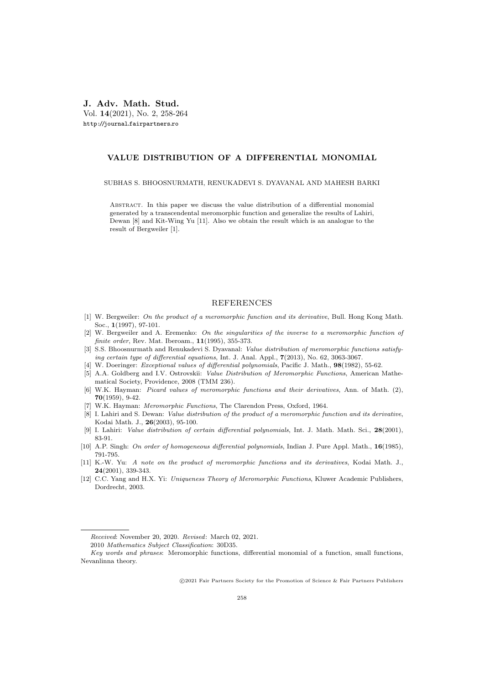J. Adv. Math. Stud. Vol. 14(2021), No. 2, 258-264 http://journal.fairpartners.ro

## VALUE DISTRIBUTION OF A DIFFERENTIAL MONOMIAL

SUBHAS S. BHOOSNURMATH, RENUKADEVI S. DYAVANAL AND MAHESH BARKI

Abstract. In this paper we discuss the value distribution of a differential monomial generated by a transcendental meromorphic function and generalize the results of Lahiri, Dewan [8] and Kit-Wing Yu [11]. Also we obtain the result which is an analogue to the result of Bergweiler [1].

## REFERENCES

- [1] W. Bergweiler: On the product of a meromorphic function and its derivative, Bull. Hong Kong Math. Soc., 1(1997), 97-101.
- [2] W. Bergweiler and A. Eremenko: On the singularities of the inverse to a meromorphic function of finite order, Rev. Mat. Iberoam., 11(1995), 355-373.
- [3] S.S. Bhoosnurmath and Renukadevi S. Dyavanal: Value distribution of meromorphic functions satisfying certain type of differential equations, Int. J. Anal. Appl., 7(2013), No. 62, 3063-3067.
- [4] W. Doeringer: *Exceptional values of differential polynomials*, Pacific J. Math.,  $98(1982)$ , 55-62.
- [5] A.A. Goldberg and I.V. Ostrovskii: Value Distribution of Meromorphic Functions, American Mathematical Society, Providence, 2008 (TMM 236).
- [6] W.K. Hayman: Picard values of meromorphic functions and their derivatives, Ann. of Math. (2), 70(1959), 9-42.
- [7] W.K. Hayman: Meromorphic Functions, The Clarendon Press, Oxford, 1964.
- [8] I. Lahiri and S. Dewan: Value distribution of the product of a meromorphic function and its derivative, Kodai Math. J., 26(2003), 95-100.
- [9] I. Lahiri: *Value distribution of certain differential polynomials*, Int. J. Math. Math. Sci., 28(2001), 83-91.
- [10] A.P. Singh: On order of homogeneous differential polynomials, Indian J. Pure Appl. Math., 16(1985), 791-795.
- [11] K.-W. Yu: A note on the product of meromorphic functions and its derivatives, Kodai Math. J., 24(2001), 339-343.
- [12] C.C. Yang and H.X. Yi: Uniqueness Theory of Meromorphic Functions, Kluwer Academic Publishers, Dordrecht, 2003.

c 2021 Fair Partners Society for the Promotion of Science & Fair Partners Publishers

Received: November 20, 2020. Revised: March 02, 2021.

<sup>2010</sup> Mathematics Subject Classification: 30D35.

Key words and phrases: Meromorphic functions, differential monomial of a function, small functions, Nevanlinna theory.